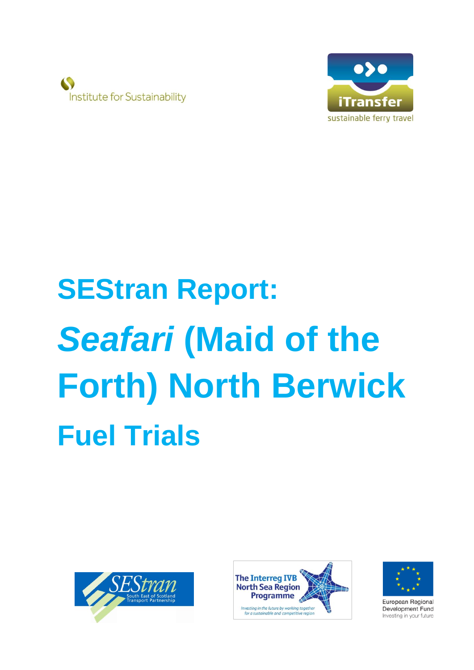



# **SEStran Report: Seafari** (Maid of the **Forth) North Berwick Fuel Trials**







European Regional Development Fund Investing in your future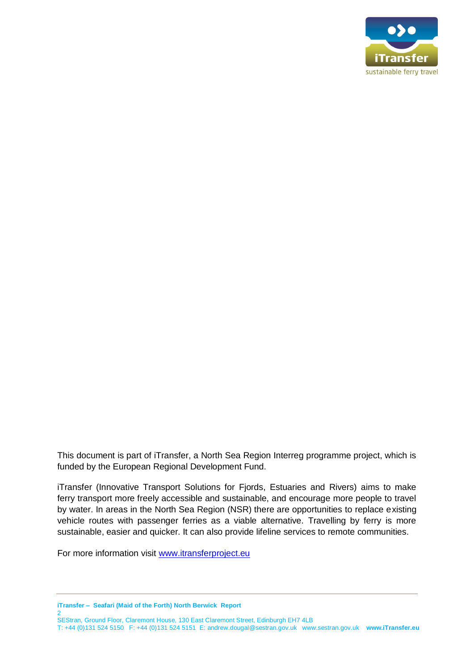

This document is part of iTransfer, a North Sea Region Interreg programme project, which is funded by the European Regional Development Fund.

iTransfer (Innovative Transport Solutions for Fjords, Estuaries and Rivers) aims to make ferry transport more freely accessible and sustainable, and encourage more people to travel by water. In areas in the North Sea Region (NSR) there are opportunities to replace existing vehicle routes with passenger ferries as a viable alternative. Travelling by ferry is more sustainable, easier and quicker. It can also provide lifeline services to remote communities.

For more information visit [www.itransferproject.eu](http://www.itransferproject.eu/)

**iTransfer – Seafari (Maid of the Forth) North Berwick Report**   $\overline{2}$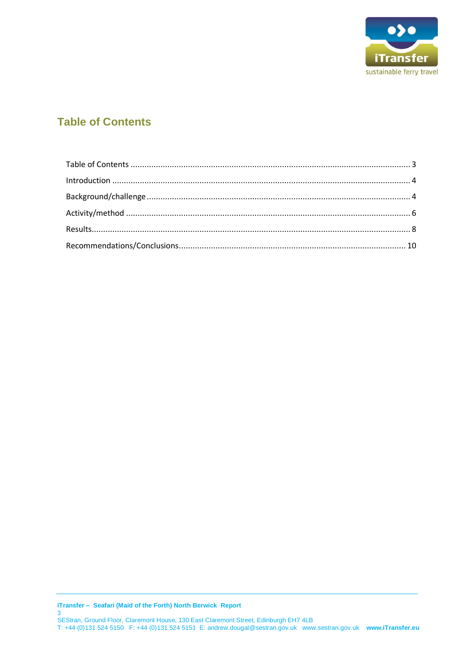

### <span id="page-2-0"></span>**Table of Contents**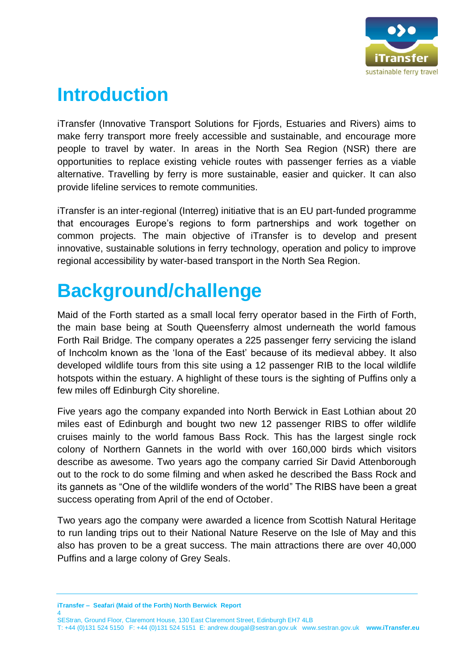

## <span id="page-3-0"></span>**Introduction**

iTransfer (Innovative Transport Solutions for Fjords, Estuaries and Rivers) aims to make ferry transport more freely accessible and sustainable, and encourage more people to travel by water. In areas in the North Sea Region (NSR) there are opportunities to replace existing vehicle routes with passenger ferries as a viable alternative. Travelling by ferry is more sustainable, easier and quicker. It can also provide lifeline services to remote communities.

iTransfer is an inter-regional (Interreg) initiative that is an EU part-funded programme that encourages Europe's regions to form partnerships and work together on common projects. The main objective of iTransfer is to develop and present innovative, sustainable solutions in ferry technology, operation and policy to improve regional accessibility by water-based transport in the North Sea Region.

## <span id="page-3-1"></span>**Background/challenge**

Maid of the Forth started as a small local ferry operator based in the Firth of Forth, the main base being at South Queensferry almost underneath the world famous Forth Rail Bridge. The company operates a 225 passenger ferry servicing the island of Inchcolm known as the 'Iona of the East' because of its medieval abbey. It also developed wildlife tours from this site using a 12 passenger RIB to the local wildlife hotspots within the estuary. A highlight of these tours is the sighting of Puffins only a few miles off Edinburgh City shoreline.

Five years ago the company expanded into North Berwick in East Lothian about 20 miles east of Edinburgh and bought two new 12 passenger RIBS to offer wildlife cruises mainly to the world famous Bass Rock. This has the largest single rock colony of Northern Gannets in the world with over 160,000 birds which visitors describe as awesome. Two years ago the company carried Sir David Attenborough out to the rock to do some filming and when asked he described the Bass Rock and its gannets as "One of the wildlife wonders of the world" The RIBS have been a great success operating from April of the end of October.

Two years ago the company were awarded a licence from Scottish Natural Heritage to run landing trips out to their National Nature Reserve on the Isle of May and this also has proven to be a great success. The main attractions there are over 40,000 Puffins and a large colony of Grey Seals.

**iTransfer – Seafari (Maid of the Forth) North Berwick Report**  4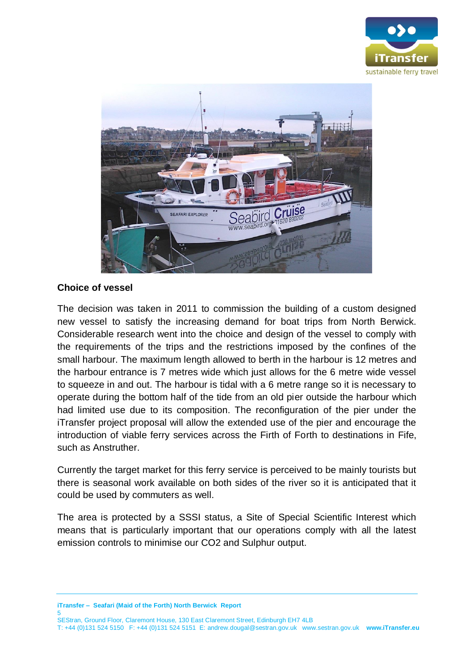



#### **Choice of vessel**

The decision was taken in 2011 to commission the building of a custom designed new vessel to satisfy the increasing demand for boat trips from North Berwick. Considerable research went into the choice and design of the vessel to comply with the requirements of the trips and the restrictions imposed by the confines of the small harbour. The maximum length allowed to berth in the harbour is 12 metres and the harbour entrance is 7 metres wide which just allows for the 6 metre wide vessel to squeeze in and out. The harbour is tidal with a 6 metre range so it is necessary to operate during the bottom half of the tide from an old pier outside the harbour which had limited use due to its composition. The reconfiguration of the pier under the iTransfer project proposal will allow the extended use of the pier and encourage the introduction of viable ferry services across the Firth of Forth to destinations in Fife, such as Anstruther.

Currently the target market for this ferry service is perceived to be mainly tourists but there is seasonal work available on both sides of the river so it is anticipated that it could be used by commuters as well.

The area is protected by a SSSI status, a Site of Special Scientific Interest which means that is particularly important that our operations comply with all the latest emission controls to minimise our CO2 and Sulphur output.

**iTransfer – Seafari (Maid of the Forth) North Berwick Report**  5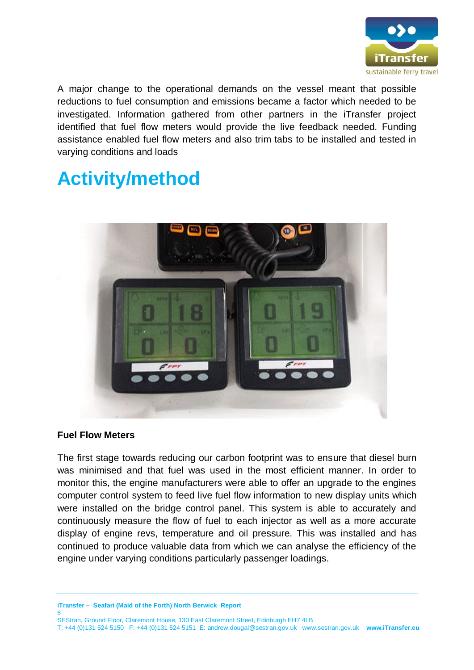

A major change to the operational demands on the vessel meant that possible reductions to fuel consumption and emissions became a factor which needed to be investigated. Information gathered from other partners in the iTransfer project identified that fuel flow meters would provide the live feedback needed. Funding assistance enabled fuel flow meters and also trim tabs to be installed and tested in varying conditions and loads

## <span id="page-5-0"></span>**Activity/method**



#### **Fuel Flow Meters**

The first stage towards reducing our carbon footprint was to ensure that diesel burn was minimised and that fuel was used in the most efficient manner. In order to monitor this, the engine manufacturers were able to offer an upgrade to the engines computer control system to feed live fuel flow information to new display units which were installed on the bridge control panel. This system is able to accurately and continuously measure the flow of fuel to each injector as well as a more accurate display of engine revs, temperature and oil pressure. This was installed and has continued to produce valuable data from which we can analyse the efficiency of the engine under varying conditions particularly passenger loadings.

**iTransfer – Seafari (Maid of the Forth) North Berwick Report**  6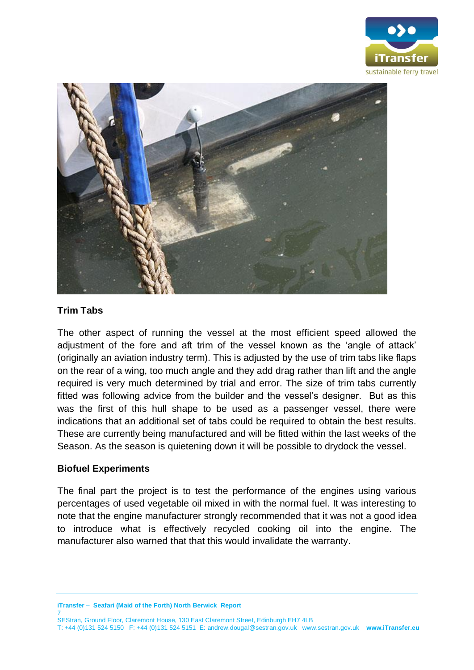



#### **Trim Tabs**

The other aspect of running the vessel at the most efficient speed allowed the adjustment of the fore and aft trim of the vessel known as the 'angle of attack' (originally an aviation industry term). This is adjusted by the use of trim tabs like flaps on the rear of a wing, too much angle and they add drag rather than lift and the angle required is very much determined by trial and error. The size of trim tabs currently fitted was following advice from the builder and the vessel's designer. But as this was the first of this hull shape to be used as a passenger vessel, there were indications that an additional set of tabs could be required to obtain the best results. These are currently being manufactured and will be fitted within the last weeks of the Season. As the season is quietening down it will be possible to drydock the vessel.

#### **Biofuel Experiments**

The final part the project is to test the performance of the engines using various percentages of used vegetable oil mixed in with the normal fuel. It was interesting to note that the engine manufacturer strongly recommended that it was not a good idea to introduce what is effectively recycled cooking oil into the engine. The manufacturer also warned that that this would invalidate the warranty.

**iTransfer – Seafari (Maid of the Forth) North Berwick Report**  7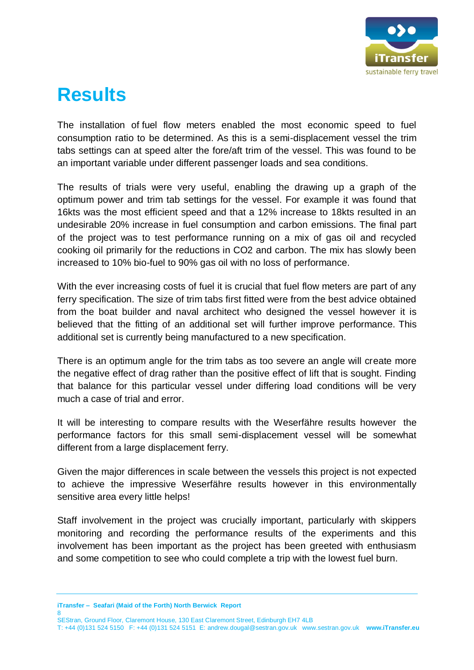

## <span id="page-7-0"></span>**Results**

The installation of fuel flow meters enabled the most economic speed to fuel consumption ratio to be determined. As this is a semi-displacement vessel the trim tabs settings can at speed alter the fore/aft trim of the vessel. This was found to be an important variable under different passenger loads and sea conditions.

The results of trials were very useful, enabling the drawing up a graph of the optimum power and trim tab settings for the vessel. For example it was found that 16kts was the most efficient speed and that a 12% increase to 18kts resulted in an undesirable 20% increase in fuel consumption and carbon emissions. The final part of the project was to test performance running on a mix of gas oil and recycled cooking oil primarily for the reductions in CO2 and carbon. The mix has slowly been increased to 10% bio-fuel to 90% gas oil with no loss of performance.

With the ever increasing costs of fuel it is crucial that fuel flow meters are part of any ferry specification. The size of trim tabs first fitted were from the best advice obtained from the boat builder and naval architect who designed the vessel however it is believed that the fitting of an additional set will further improve performance. This additional set is currently being manufactured to a new specification.

There is an optimum angle for the trim tabs as too severe an angle will create more the negative effect of drag rather than the positive effect of lift that is sought. Finding that balance for this particular vessel under differing load conditions will be very much a case of trial and error.

It will be interesting to compare results with the Weserfähre results however the performance factors for this small semi-displacement vessel will be somewhat different from a large displacement ferry.

Given the major differences in scale between the vessels this project is not expected to achieve the impressive Weserfähre results however in this environmentally sensitive area every little helps!

Staff involvement in the project was crucially important, particularly with skippers monitoring and recording the performance results of the experiments and this involvement has been important as the project has been greeted with enthusiasm and some competition to see who could complete a trip with the lowest fuel burn.

**iTransfer – Seafari (Maid of the Forth) North Berwick Report**  8

SEStran, Ground Floor, Claremont House, 130 East Claremont Street, Edinburgh EH7 4LB T: +44 (0)131 524 5150 F: +44 (0)131 524 5151 E: andrew.dougal@sestran.gov.uk www.sestran.gov.uk **www.iTransfer.eu**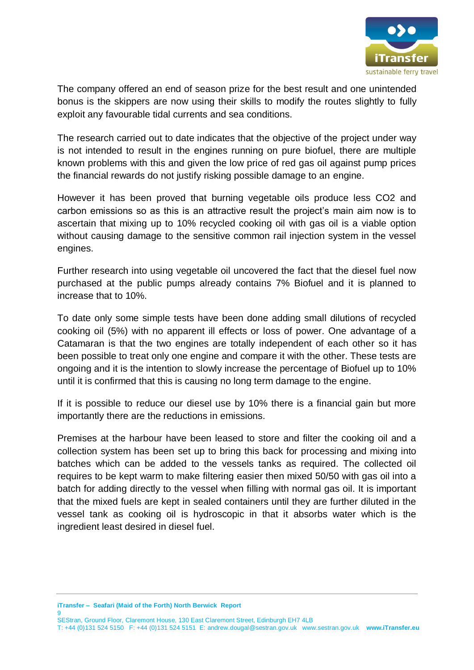

The company offered an end of season prize for the best result and one unintended bonus is the skippers are now using their skills to modify the routes slightly to fully exploit any favourable tidal currents and sea conditions.

The research carried out to date indicates that the objective of the project under way is not intended to result in the engines running on pure biofuel, there are multiple known problems with this and given the low price of red gas oil against pump prices the financial rewards do not justify risking possible damage to an engine.

However it has been proved that burning vegetable oils produce less CO2 and carbon emissions so as this is an attractive result the project's main aim now is to ascertain that mixing up to 10% recycled cooking oil with gas oil is a viable option without causing damage to the sensitive common rail injection system in the vessel engines.

Further research into using vegetable oil uncovered the fact that the diesel fuel now purchased at the public pumps already contains 7% Biofuel and it is planned to increase that to 10%.

To date only some simple tests have been done adding small dilutions of recycled cooking oil (5%) with no apparent ill effects or loss of power. One advantage of a Catamaran is that the two engines are totally independent of each other so it has been possible to treat only one engine and compare it with the other. These tests are ongoing and it is the intention to slowly increase the percentage of Biofuel up to 10% until it is confirmed that this is causing no long term damage to the engine.

If it is possible to reduce our diesel use by 10% there is a financial gain but more importantly there are the reductions in emissions.

Premises at the harbour have been leased to store and filter the cooking oil and a collection system has been set up to bring this back for processing and mixing into batches which can be added to the vessels tanks as required. The collected oil requires to be kept warm to make filtering easier then mixed 50/50 with gas oil into a batch for adding directly to the vessel when filling with normal gas oil. It is important that the mixed fuels are kept in sealed containers until they are further diluted in the vessel tank as cooking oil is hydroscopic in that it absorbs water which is the ingredient least desired in diesel fuel.

**iTransfer – Seafari (Maid of the Forth) North Berwick Report**  9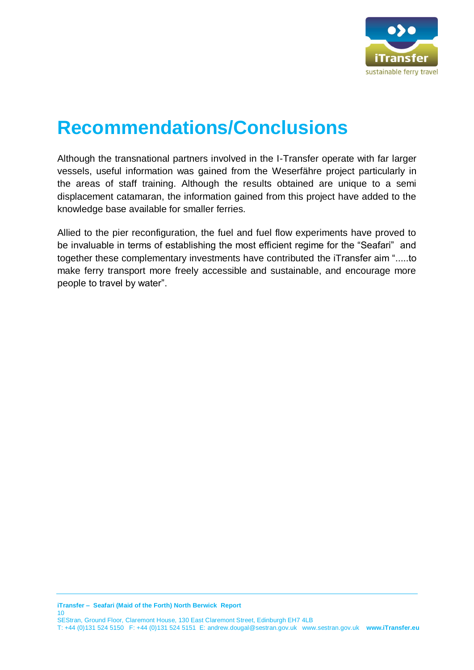

## <span id="page-9-0"></span>**Recommendations/Conclusions**

Although the transnational partners involved in the I-Transfer operate with far larger vessels, useful information was gained from the Weserfähre project particularly in the areas of staff training. Although the results obtained are unique to a semi displacement catamaran, the information gained from this project have added to the knowledge base available for smaller ferries.

Allied to the pier reconfiguration, the fuel and fuel flow experiments have proved to be invaluable in terms of establishing the most efficient regime for the "Seafari" and together these complementary investments have contributed the iTransfer aim ".....to make ferry transport more freely accessible and sustainable, and encourage more people to travel by water".